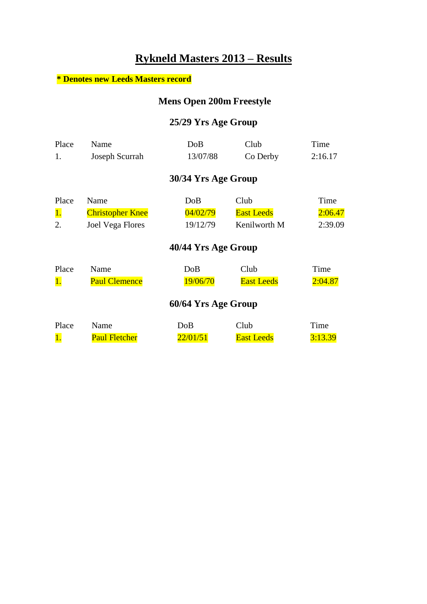## **Rykneld Masters 2013 – Results**

#### **\* Denotes new Leeds Masters record**

### **Mens Open 200m Freestyle**

#### **25/29 Yrs Age Group**

| Place<br>1.              | Name<br>Joseph Scurrah                              | DoB<br>13/07/88             | Club<br>Co Derby                          | Time<br>2:16.17            |
|--------------------------|-----------------------------------------------------|-----------------------------|-------------------------------------------|----------------------------|
|                          |                                                     | 30/34 Yrs Age Group         |                                           |                            |
| Place<br><u>1.</u><br>2. | Name<br><b>Christopher Knee</b><br>Joel Vega Flores | DoB<br>04/02/79<br>19/12/79 | Club<br><b>East Leeds</b><br>Kenilworth M | Time<br>2:06.47<br>2:39.09 |
|                          |                                                     | 40/44 Yrs Age Group         |                                           |                            |
| Place<br>1.              | Name<br><b>Paul Clemence</b>                        | DoB<br>19/06/70             | Club<br><b>East Leeds</b>                 | Time<br>2:04.87            |
|                          |                                                     | 60/64 Yrs Age Group         |                                           |                            |
| Place                    | Name                                                | DoB                         | Club                                      | Time                       |

1. Paul Fletcher 22/01/51 East Leeds 3:13.39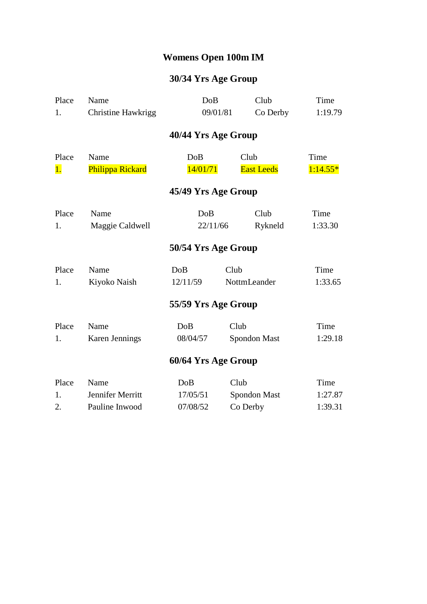## **Womens Open 100m IM**

| Place | Name                      | DoB                 | Club              | Time       |  |  |
|-------|---------------------------|---------------------|-------------------|------------|--|--|
| 1.    | <b>Christine Hawkrigg</b> | 09/01/81            | Co Derby          | 1:19.79    |  |  |
|       |                           | 40/44 Yrs Age Group |                   |            |  |  |
| Place | Name                      | DoB                 | Club              | Time       |  |  |
| 1.    | Philippa Rickard          | 14/01/71            | <b>East Leeds</b> | $1:14.55*$ |  |  |
|       |                           | 45/49 Yrs Age Group |                   |            |  |  |
| Place | Name                      | DoB                 | Club              | Time       |  |  |
| 1.    | Maggie Caldwell           | 22/11/66            | Rykneld           | 1:33.30    |  |  |
|       |                           | 50/54 Yrs Age Group |                   |            |  |  |
| Place | Name                      | DoB                 | Club              | Time       |  |  |
| 1.    | Kiyoko Naish              | 12/11/59            | NottmLeander      | 1:33.65    |  |  |
|       |                           | 55/59 Yrs Age Group |                   |            |  |  |
| Place | Name                      | DoB                 | Club              | Time       |  |  |
| 1.    | <b>Karen Jennings</b>     | 08/04/57            | Spondon Mast      | 1:29.18    |  |  |
|       | 60/64 Yrs Age Group       |                     |                   |            |  |  |
| Place | Name                      | DoB                 | Club              | Time       |  |  |
| 1.    | Jennifer Merritt          | 17/05/51            | Spondon Mast      | 1:27.87    |  |  |
| 2.    | Pauline Inwood            | 07/08/52            | Co Derby          | 1:39.31    |  |  |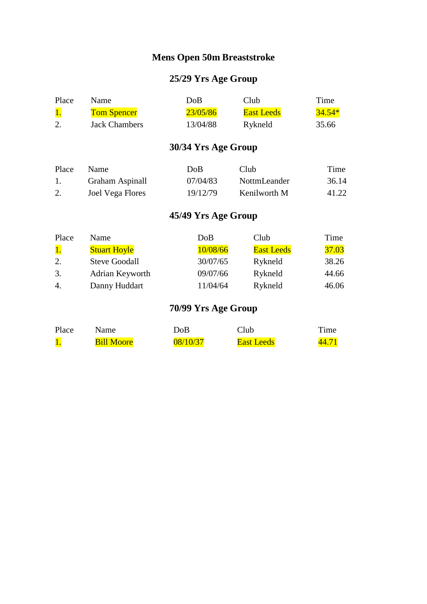### **Mens Open 50m Breaststroke**

### **25/29 Yrs Age Group**

| Place | Name.              | DoB      | Club              | Time     |
|-------|--------------------|----------|-------------------|----------|
|       | <b>Tom Spencer</b> | 23/05/86 | <b>East Leeds</b> | $34.54*$ |
|       | Jack Chambers      | 13/04/88 | Rykneld           | 35.66    |

### **30/34 Yrs Age Group**

| Place | <b>Name</b>      | DoB      | Club         | Time  |
|-------|------------------|----------|--------------|-------|
|       | Graham Aspinall  | 07/04/83 | NottmLeander | 36.14 |
|       | Joel Vega Flores | 19/12/79 | Kenilworth M | 41.22 |

### **45/49 Yrs Age Group**

| Place | Name                 | DoB      | Club              | Time  |
|-------|----------------------|----------|-------------------|-------|
| 1.    | <b>Stuart Hoyle</b>  | 10/08/66 | <b>East Leeds</b> | 37.03 |
| 2.    | <b>Steve Goodall</b> | 30/07/65 | Rykneld           | 38.26 |
| 3.    | Adrian Keyworth      | 09/07/66 | Rykneld           | 44.66 |
| 4.    | Danny Huddart        | 11/04/64 | Rykneld           | 46.06 |

| Place | Name              | DoB      | Club              | $T$ ime |
|-------|-------------------|----------|-------------------|---------|
|       | <b>Bill Moore</b> | 08/10/37 | <b>East Leeds</b> |         |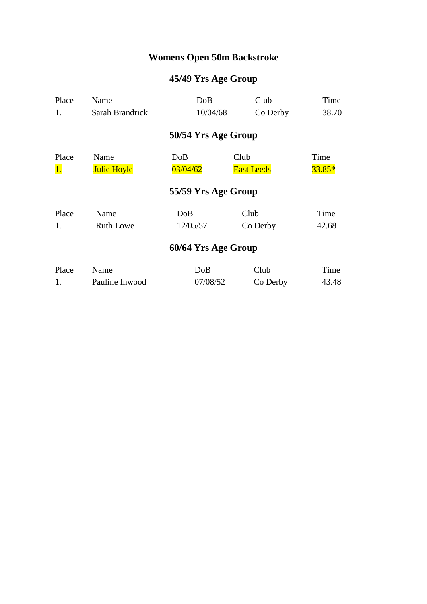## **Womens Open 50m Backstroke**

| Place     | Name               | DoB                 | Club              | Time     |
|-----------|--------------------|---------------------|-------------------|----------|
| 1.        | Sarah Brandrick    | 10/04/68            | Co Derby          | 38.70    |
|           |                    | 50/54 Yrs Age Group |                   |          |
| Place     | Name               | DoB                 | Club              | Time     |
| <b>1.</b> | <b>Julie Hoyle</b> | 03/04/62            | <b>East Leeds</b> | $33.85*$ |
|           |                    | 55/59 Yrs Age Group |                   |          |
| Place     | Name               | DoB                 | Club              | Time     |
| 1.        | <b>Ruth Lowe</b>   | 12/05/57            | Co Derby          | 42.68    |
|           |                    | 60/64 Yrs Age Group |                   |          |
| Place     | Name               | DoB                 | Club              | Time     |
| 1.        | Pauline Inwood     | 07/08/52            | Co Derby          | 43.48    |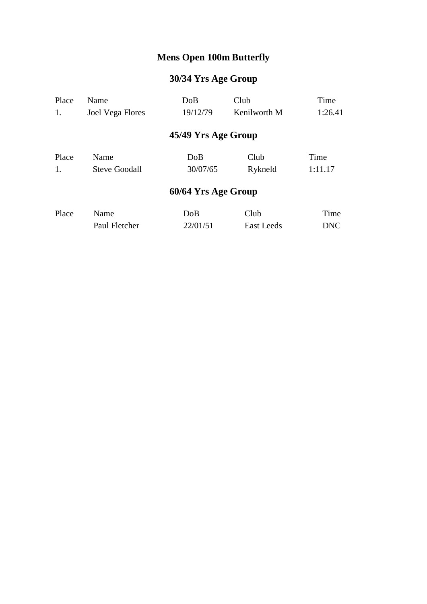## **Mens Open 100m Butterfly**

| Place | Name                 | DoB                 | Club              | Time    |
|-------|----------------------|---------------------|-------------------|---------|
| 1.    | Joel Vega Flores     | 19/12/79            | Kenilworth M      | 1:26.41 |
|       |                      | 45/49 Yrs Age Group |                   |         |
| Place | Name                 | DoB                 | Club              | Time    |
| 1.    | <b>Steve Goodall</b> | 30/07/65            | Rykneld           | 1:11.17 |
|       |                      | 60/64 Yrs Age Group |                   |         |
| Place | Name                 | DoB                 | Club              | Time    |
|       | Paul Fletcher        | 22/01/51            | <b>East Leeds</b> | DNC     |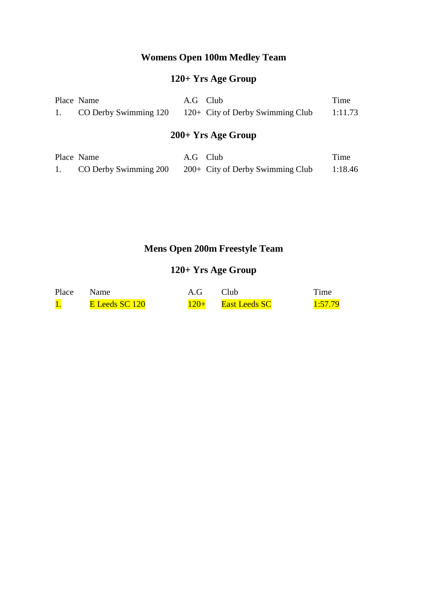### **Womens Open 100m Medley Team**

### **120+ Yrs Age Group**

| Place Name | A.G Club |                                                           | Time    |
|------------|----------|-----------------------------------------------------------|---------|
|            |          | 1. CO Derby Swimming 120 120+ City of Derby Swimming Club | 1:11.73 |

## **200+ Yrs Age Group**

| Place Name            | A.G Club |                                    | Time    |
|-----------------------|----------|------------------------------------|---------|
| CO Derby Swimming 200 |          | $200+$ City of Derby Swimming Club | 1:18.46 |

### **Mens Open 200m Freestyle Team**

### **120+ Yrs Age Group**

| Place | <b>Name</b>    | A.G    | Club                 | Time    |
|-------|----------------|--------|----------------------|---------|
|       | E Leeds SC 120 | $120+$ | <b>East Leeds SC</b> | 1:57.79 |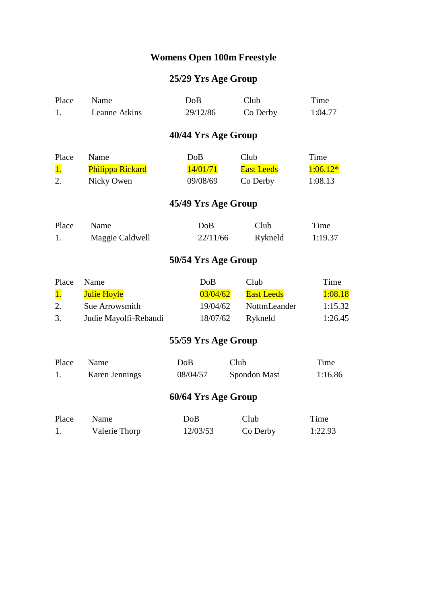## **Womens Open 100m Freestyle**

| Place | Name                  | DoB                 | Club              | Time       |
|-------|-----------------------|---------------------|-------------------|------------|
| 1.    | Leanne Atkins         | 29/12/86            | Co Derby          | 1:04.77    |
|       |                       | 40/44 Yrs Age Group |                   |            |
| Place | Name                  | DoB                 | Club              | Time       |
| 1.    | Philippa Rickard      | 14/01/71            | <b>East Leeds</b> | $1:06.12*$ |
| 2.    | Nicky Owen            | 09/08/69            | Co Derby          | 1:08.13    |
|       |                       | 45/49 Yrs Age Group |                   |            |
| Place | Name                  | DoB                 | Club              | Time       |
| 1.    | Maggie Caldwell       | 22/11/66            | Rykneld           | 1:19.37    |
|       |                       | 50/54 Yrs Age Group |                   |            |
| Place | Name                  | <b>DoB</b>          | Club              | Time       |
| 1.    | <b>Julie Hoyle</b>    | 03/04/62            | <b>East Leeds</b> | 1:08.18    |
| 2.    | Sue Arrowsmith        | 19/04/62            | NottmLeander      | 1:15.32    |
| 3.    | Judie Mayolfi-Rebaudi | 18/07/62            | Rykneld           | 1:26.45    |
|       |                       | 55/59 Yrs Age Group |                   |            |
| Place | Name                  | DoB                 | Club              | Time       |
| 1.    | Karen Jennings        | 08/04/57            | Spondon Mast      | 1:16.86    |
|       |                       | 60/64 Yrs Age Group |                   |            |
|       |                       |                     |                   |            |

| Place | Name -        | DoB      | Club     | Time    |
|-------|---------------|----------|----------|---------|
|       | Valerie Thorp | 12/03/53 | Co Derby | 1:22.93 |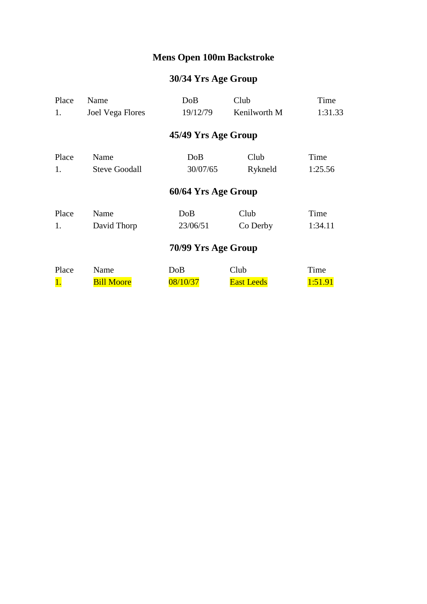## **Mens Open 100m Backstroke**

| Place     | Name                    | DoB                 | Club              | Time    |
|-----------|-------------------------|---------------------|-------------------|---------|
| 1.        | <b>Joel Vega Flores</b> | 19/12/79            | Kenilworth M      | 1:31.33 |
|           |                         | 45/49 Yrs Age Group |                   |         |
| Place     | Name                    | DoB                 | Club              | Time    |
| 1.        | <b>Steve Goodall</b>    | 30/07/65            | Rykneld           | 1:25.56 |
|           |                         | 60/64 Yrs Age Group |                   |         |
| Place     | Name                    | DoB                 | Club              | Time    |
| 1.        | David Thorp             | 23/06/51            | Co Derby          | 1:34.11 |
|           |                         | 70/99 Yrs Age Group |                   |         |
| Place     | Name                    | DoB                 | Club              | Time    |
| <b>1.</b> | <b>Bill Moore</b>       | 08/10/37            | <b>East Leeds</b> | 1:51.91 |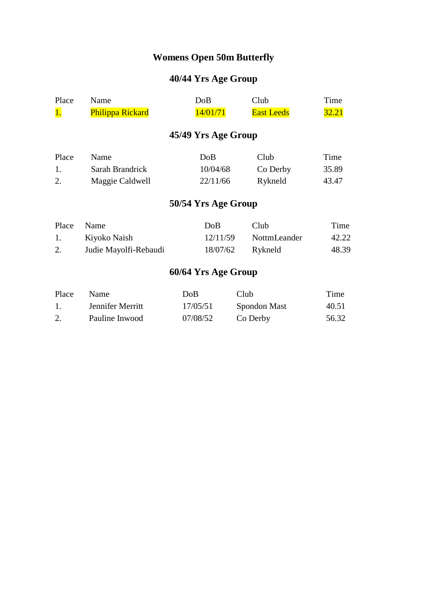## **Womens Open 50m Butterfly**

| Place     | Name                    | DoB                 | Club              | Time         |
|-----------|-------------------------|---------------------|-------------------|--------------|
| <b>1.</b> | <b>Philippa Rickard</b> | 14/01/71            | <b>East Leeds</b> | <b>32.21</b> |
|           |                         | 45/49 Yrs Age Group |                   |              |
| Place     | Name                    | DoB                 | Club              | Time         |
| 1.        | Sarah Brandrick         | 10/04/68            | Co Derby          | 35.89        |
| 2.        | Maggie Caldwell         | 22/11/66            | Rykneld           | 43.47        |
|           |                         | 50/54 Yrs Age Group |                   |              |
| Place     | Name                    | DoB                 | Club              | Time         |
| 1.        | Kiyoko Naish            | 12/11/59            | NottmLeander      | 42.22        |
| 2.        | Judie Mayolfi-Rebaudi   | 18/07/62            | Rykneld           | 48.39        |
|           |                         | 60/64 Yrs Age Group |                   |              |
|           |                         |                     |                   |              |

| Place | <b>Name</b>      | DoB      | Club         | Time  |
|-------|------------------|----------|--------------|-------|
|       | Jennifer Merritt | 17/05/51 | Spondon Mast | 40.51 |
| 2.    | Pauline Inwood   | 07/08/52 | Co Derby     | 56.32 |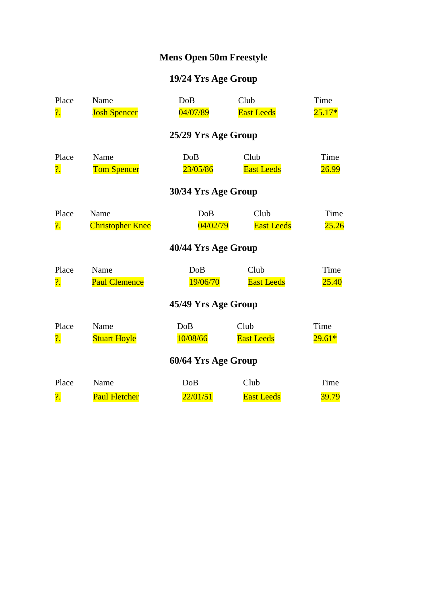## **Mens Open 50m Freestyle**

| Place                     | Name                    | <b>DoB</b>          | Club              | Time         |
|---------------------------|-------------------------|---------------------|-------------------|--------------|
| $\overline{\mathbf{?}}$ . | <b>Josh Spencer</b>     | 04/07/89            | <b>East Leeds</b> | $25.17*$     |
|                           |                         | 25/29 Yrs Age Group |                   |              |
| Place                     | Name                    | DoB                 | Club              | Time         |
| ?.                        | <b>Tom Spencer</b>      | 23/05/86            | <b>East Leeds</b> | 26.99        |
|                           |                         | 30/34 Yrs Age Group |                   |              |
| Place                     | Name                    | <b>DoB</b>          | Club              | Time         |
| $\overline{\mathbf{?}}$ . | <b>Christopher Knee</b> | 04/02/79            | <b>East Leeds</b> | 25.26        |
|                           |                         | 40/44 Yrs Age Group |                   |              |
| Place                     | Name                    | DoB                 | Club              | Time         |
| $\overline{\mathbf{?}}$ . | <b>Paul Clemence</b>    | 19/06/70            | <b>East Leeds</b> | <b>25.40</b> |
|                           |                         | 45/49 Yrs Age Group |                   |              |
| Place                     | Name                    | DoB                 | Club              | Time         |
| $\overline{\mathbf{?}}$ . | <b>Stuart Hoyle</b>     | 10/08/66            | <b>East Leeds</b> | $29.61*$     |
|                           |                         | 60/64 Yrs Age Group |                   |              |
| Place                     | Name                    | DoB                 | Club              | Time         |
| $\overline{\mathcal{C}}$  | <b>Paul Fletcher</b>    | 22/01/51            | <b>East Leeds</b> | 39.79        |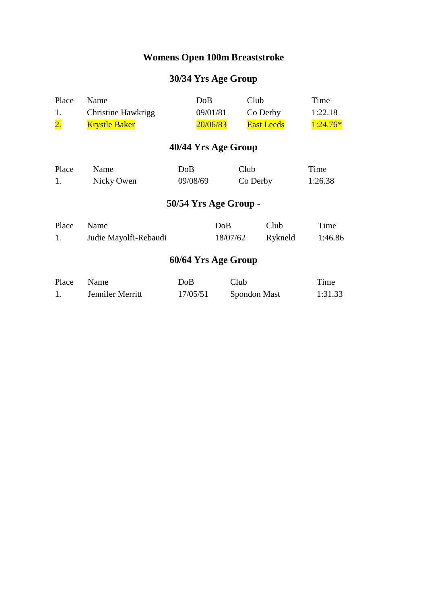## **Womens Open 100m Breaststroke**

| Place            | Name                      | DoB                   |          | Club              | Time       |
|------------------|---------------------------|-----------------------|----------|-------------------|------------|
| 1.               | <b>Christine Hawkrigg</b> |                       | 09/01/81 | Co Derby          | 1:22.18    |
| $\overline{2}$ . | <b>Krystle Baker</b>      |                       | 20/06/83 | <b>East Leeds</b> | $1:24.76*$ |
|                  |                           | 40/44 Yrs Age Group   |          |                   |            |
| Place            | Name                      | DoB                   | Club     |                   | Time       |
| 1.               | Nicky Owen                | 09/08/69              |          | Co Derby          | 1:26.38    |
|                  |                           | 50/54 Yrs Age Group - |          |                   |            |
| Place            | Name                      |                       | DoB      | Club              | Time       |
| 1.               | Judie Mayolfi-Rebaudi     |                       | 18/07/62 | Rykneld           | 1:46.86    |
|                  |                           | 60/64 Yrs Age Group   |          |                   |            |
| Place            | Name                      | DoB                   | Club     |                   | Time       |
| 1.               | Jennifer Merritt          | 17/05/51              |          | Spondon Mast      | 1:31.33    |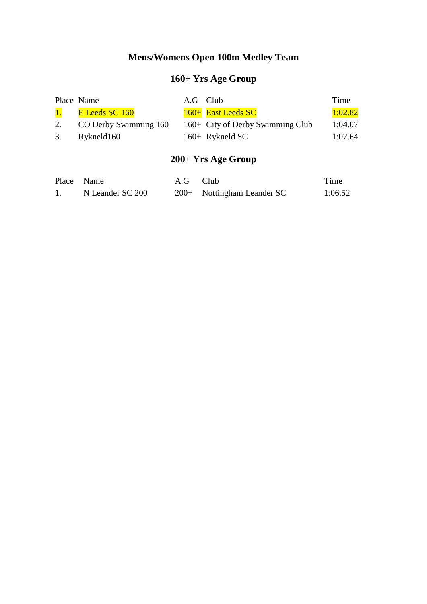## **Mens/Womens Open 100m Medley Team**

# **160+ Yrs Age Group**

| Place Name               | A.G Club |                                  | Time    |
|--------------------------|----------|----------------------------------|---------|
| 1. E Leeds SC 160        |          | 160+ East Leeds SC               | 1:02.82 |
| 2. CO Derby Swimming 160 |          | 160+ City of Derby Swimming Club | 1:04.07 |
| 3. Rykneld160            |          | $160+$ Rykneld SC                | 1:07.64 |

## **200+ Yrs Age Group**

| Place Name |                  | A.G Club |                              | Time    |
|------------|------------------|----------|------------------------------|---------|
|            | N Leander SC 200 |          | $200+$ Nottingham Leander SC | 1:06.52 |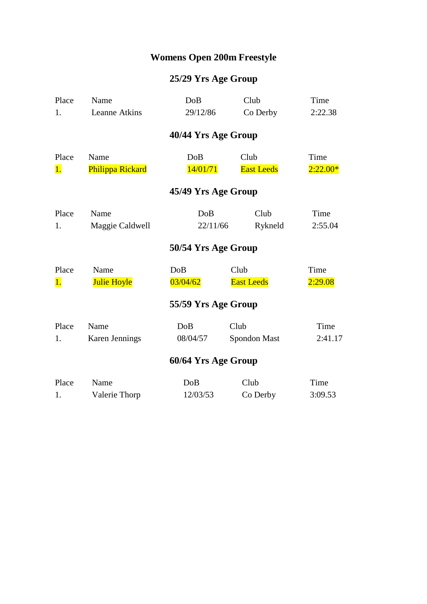## **Womens Open 200m Freestyle**

| Place | Name               | DoB                 | Club              | Time       |
|-------|--------------------|---------------------|-------------------|------------|
| 1.    | Leanne Atkins      | 29/12/86            | Co Derby          | 2:22.38    |
|       |                    | 40/44 Yrs Age Group |                   |            |
| Place | Name               | DoB                 | Club              | Time       |
| 1.    | Philippa Rickard   | 14/01/71            | <b>East Leeds</b> | $2:22.00*$ |
|       |                    | 45/49 Yrs Age Group |                   |            |
| Place | Name               | DoB                 | Club              | Time       |
| 1.    | Maggie Caldwell    | 22/11/66            | Rykneld           | 2:55.04    |
|       |                    | 50/54 Yrs Age Group |                   |            |
| Place | Name               | DoB                 | Club              | Time       |
| 1.    | <b>Julie Hoyle</b> | 03/04/62            | <b>East Leeds</b> | 2:29.08    |
|       |                    | 55/59 Yrs Age Group |                   |            |
| Place | Name               | DoB                 | Club              | Time       |
| 1.    | Karen Jennings     | 08/04/57            | Spondon Mast      | 2:41.17    |
|       |                    | 60/64 Yrs Age Group |                   |            |
| Place | Name               | DoB                 | Club              | Time       |
| 1.    | Valerie Thorp      | 12/03/53            | Co Derby          | 3:09.53    |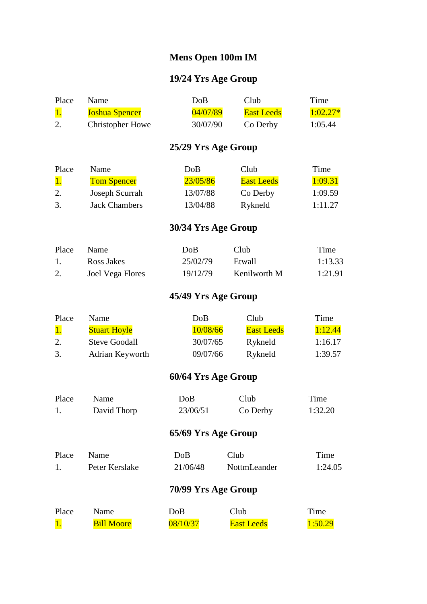#### **Mens Open 100m IM**

### **19/24 Yrs Age Group**

| Place | <b>Name</b>             | DoB      | Club              | Time       |
|-------|-------------------------|----------|-------------------|------------|
|       | <b>Joshua Spencer</b>   | 04/07/89 | <b>East Leeds</b> | $1:02.27*$ |
|       | <b>Christopher Howe</b> | 30/07/90 | Co Derby          | 1:05.44    |

### **25/29 Yrs Age Group**

| Place | Name                 | DoB      | Club              | Time    |
|-------|----------------------|----------|-------------------|---------|
|       | <b>Tom Spencer</b>   | 23/05/86 | <b>East Leeds</b> | 1:09.31 |
|       | Joseph Scurrah       | 13/07/88 | Co Derby          | 1:09.59 |
| 3.    | <b>Jack Chambers</b> | 13/04/88 | Rykneld           | 1:11.27 |

### **30/34 Yrs Age Group**

| Place | <b>Name</b>      | DoB      | Club         | Time    |
|-------|------------------|----------|--------------|---------|
|       | Ross Jakes       | 25/02/79 | Etwall       | 1:13.33 |
|       | Joel Vega Flores | 19/12/79 | Kenilworth M | 1:21.91 |

### **45/49 Yrs Age Group**

| Place | Name.               | DoB      | Club       | Time    |
|-------|---------------------|----------|------------|---------|
|       | <b>Stuart Hoyle</b> | 10/08/66 | East Leeds | 1:12.44 |
|       | Steve Goodall       | 30/07/65 | Rykneld    | 1:16.17 |
| 3.    | Adrian Keyworth     | 09/07/66 | Rykneld    | 1:39.57 |

| Place               | Name              | DoB      | Club                | Time    |  |  |
|---------------------|-------------------|----------|---------------------|---------|--|--|
| 1.                  | David Thorp       | 23/06/51 | Co Derby            | 1:32.20 |  |  |
| 65/69 Yrs Age Group |                   |          |                     |         |  |  |
| Place               | Name              | DoB      | Club                | Time    |  |  |
| 1.                  | Peter Kerslake    | 21/06/48 | <b>NottmLeander</b> | 1:24.05 |  |  |
| 70/99 Yrs Age Group |                   |          |                     |         |  |  |
| Place               | Name              | DoB      | Club                | Time    |  |  |
| 1.                  | <b>Bill Moore</b> | 08/10/37 | <b>East Leeds</b>   | 1:50.29 |  |  |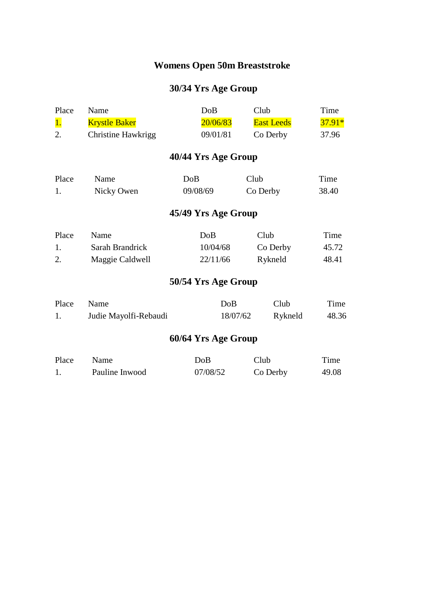## **Womens Open 50m Breaststroke**

| Place     | Name                      | DoB                 | Club              | Time     |  |  |  |
|-----------|---------------------------|---------------------|-------------------|----------|--|--|--|
| <b>1.</b> | <b>Krystle Baker</b>      | 20/06/83            | <b>East Leeds</b> | $37.91*$ |  |  |  |
| 2.        | <b>Christine Hawkrigg</b> | 09/01/81            | Co Derby          | 37.96    |  |  |  |
|           |                           | 40/44 Yrs Age Group |                   |          |  |  |  |
| Place     | Name                      | DoB                 | Club              | Time     |  |  |  |
| 1.        | Nicky Owen                | 09/08/69            | Co Derby          | 38.40    |  |  |  |
|           | 45/49 Yrs Age Group       |                     |                   |          |  |  |  |
| Place     | Name                      | DoB                 | Club              | Time     |  |  |  |
| 1.        | Sarah Brandrick           | 10/04/68            | Co Derby          | 45.72    |  |  |  |
| 2.        | Maggie Caldwell           | 22/11/66            | Rykneld           | 48.41    |  |  |  |
|           |                           | 50/54 Yrs Age Group |                   |          |  |  |  |
| Place     | Name                      | DoB                 | Club              | Time     |  |  |  |
| 1.        | Judie Mayolfi-Rebaudi     | 18/07/62            | Rykneld           | 48.36    |  |  |  |
|           | 60/64 Yrs Age Group       |                     |                   |          |  |  |  |

| Place | Name           | DoB      | Club     | Time  |
|-------|----------------|----------|----------|-------|
|       | Pauline Inwood | 07/08/52 | Co Derby | 49.08 |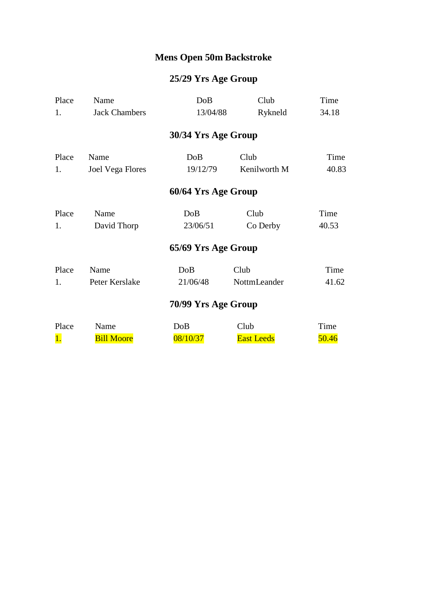## **Mens Open 50m Backstroke**

| Place | Name                    | DoB                 | Club              | Time  |
|-------|-------------------------|---------------------|-------------------|-------|
| 1.    | <b>Jack Chambers</b>    | 13/04/88            | Rykneld           | 34.18 |
|       |                         | 30/34 Yrs Age Group |                   |       |
| Place | Name                    | DoB                 | Club              | Time  |
| 1.    | <b>Joel Vega Flores</b> | 19/12/79            | Kenilworth M      | 40.83 |
|       |                         | 60/64 Yrs Age Group |                   |       |
| Place | Name                    | DoB                 | Club              | Time  |
| 1.    | David Thorp             | 23/06/51            | Co Derby          | 40.53 |
|       |                         | 65/69 Yrs Age Group |                   |       |
| Place | Name                    | DoB                 | Club              | Time  |
| 1.    | Peter Kerslake          | 21/06/48            | NottmLeander      | 41.62 |
|       |                         | 70/99 Yrs Age Group |                   |       |
| Place | Name                    | DoB                 | Club              | Time  |
| 1.    | <b>Bill Moore</b>       | 08/10/37            | <b>East Leeds</b> | 50.46 |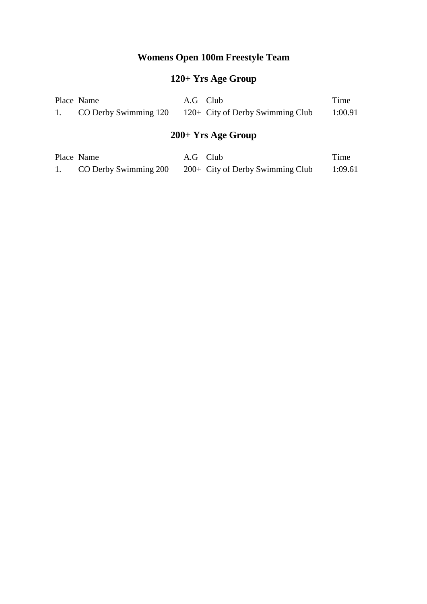## **Womens Open 100m Freestyle Team**

# **120+ Yrs Age Group**

| Place Name | A.G Club |                                                             | Time    |
|------------|----------|-------------------------------------------------------------|---------|
|            |          | CO Derby Swimming $120 - 120$ + City of Derby Swimming Club | 1:00.91 |

# **200+ Yrs Age Group**

| Place Name            | A.G Club |                                    | Time    |
|-----------------------|----------|------------------------------------|---------|
| CO Derby Swimming 200 |          | $200+$ City of Derby Swimming Club | 1:09.61 |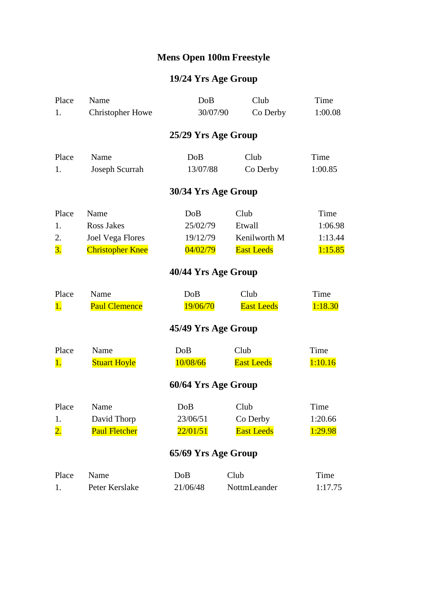# **Mens Open 100m Freestyle**

| Place               | Name                    | DoB                 | Club              | Time    |  |
|---------------------|-------------------------|---------------------|-------------------|---------|--|
| 1.                  | <b>Christopher Howe</b> | 30/07/90            | Co Derby          | 1:00.08 |  |
|                     |                         | 25/29 Yrs Age Group |                   |         |  |
| Place               | Name                    | DoB                 | Club              | Time    |  |
| 1.                  | Joseph Scurrah          | 13/07/88            | Co Derby          | 1:00.85 |  |
|                     |                         | 30/34 Yrs Age Group |                   |         |  |
| Place               | Name                    | DoB                 | Club              | Time    |  |
| 1.                  | <b>Ross Jakes</b>       | 25/02/79            | Etwall            | 1:06.98 |  |
| 2.                  | <b>Joel Vega Flores</b> | 19/12/79            | Kenilworth M      | 1:13.44 |  |
| 3.                  | <b>Christopher Knee</b> | 04/02/79            | <b>East Leeds</b> | 1:15.85 |  |
| 40/44 Yrs Age Group |                         |                     |                   |         |  |
| Place               | Name                    | DoB                 | Club              | Time    |  |
| 1.                  | <b>Paul Clemence</b>    | 19/06/70            | <b>East Leeds</b> | 1:18.30 |  |
|                     |                         | 45/49 Yrs Age Group |                   |         |  |
| Place               | Name                    | DoB                 | Club              | Time    |  |
| 1.                  | <b>Stuart Hoyle</b>     | 10/08/66            | <b>East Leeds</b> | 1:10.16 |  |
|                     |                         | 60/64 Yrs Age Group |                   |         |  |
| Place               | Name                    | DoB                 | Club              | Time    |  |
| 1.                  | David Thorp             | 23/06/51            | Co Derby          | 1:20.66 |  |
| $\overline{2}$ .    | <b>Paul Fletcher</b>    | 22/01/51            | <b>East Leeds</b> | 1:29.98 |  |
|                     |                         | 65/69 Yrs Age Group |                   |         |  |
| Place               | Name                    | DoB                 | Club              | Time    |  |
| 1.                  | Peter Kerslake          | 21/06/48            | NottmLeander      | 1:17.75 |  |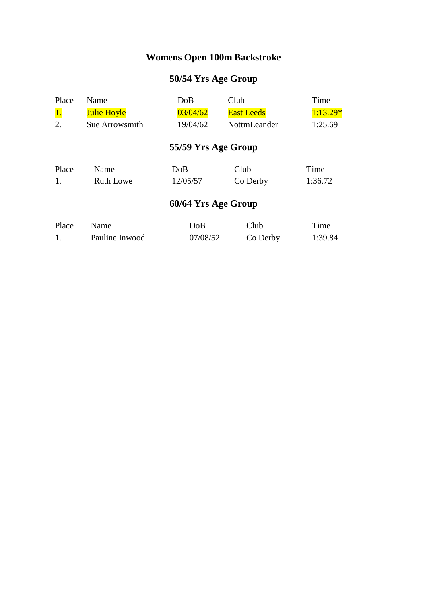## **Womens Open 100m Backstroke**

| Place | Name               | DoB                 | Club              | Time       |
|-------|--------------------|---------------------|-------------------|------------|
| 1.    | <b>Julie Hoyle</b> | 03/04/62            | <b>East Leeds</b> | $1:13.29*$ |
| 2.    | Sue Arrowsmith     | 19/04/62            | NottmLeander      | 1:25.69    |
|       |                    | 55/59 Yrs Age Group |                   |            |
| Place | Name               | DoB                 | Club              | Time       |
| 1.    | <b>Ruth Lowe</b>   | 12/05/57            | Co Derby          | 1:36.72    |
|       |                    | 60/64 Yrs Age Group |                   |            |
| Place | Name               | DoB                 | Club              | Time       |
| 1.    | Pauline Inwood     | 07/08/52            | Co Derby          | 1:39.84    |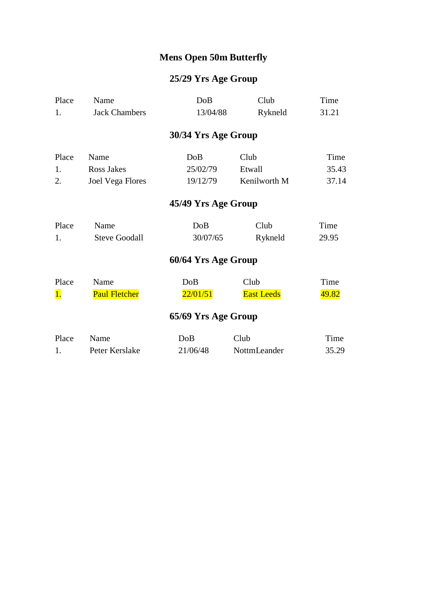## **Mens Open 50m Butterfly**

| Place | Name                    | DoB                 | Club              | Time  |
|-------|-------------------------|---------------------|-------------------|-------|
| 1.    | <b>Jack Chambers</b>    | 13/04/88            | Rykneld           | 31.21 |
|       |                         | 30/34 Yrs Age Group |                   |       |
| Place | Name                    | DoB                 | Club              | Time  |
| 1.    | Ross Jakes              | 25/02/79            | Etwall            | 35.43 |
| 2.    | <b>Joel Vega Flores</b> | 19/12/79            | Kenilworth M      | 37.14 |
|       |                         | 45/49 Yrs Age Group |                   |       |
| Place | Name                    | DoB                 | Club              | Time  |
| 1.    | <b>Steve Goodall</b>    | 30/07/65            | Rykneld           | 29.95 |
|       |                         | 60/64 Yrs Age Group |                   |       |
| Place | Name                    | DoB                 | Club              | Time  |
| 1.    | <b>Paul Fletcher</b>    | 22/01/51            | <b>East Leeds</b> | 49.82 |
|       |                         | 65/69 Yrs Age Group |                   |       |
| Place | Name                    | DoB                 | Club              | Time  |
| 1.    | Peter Kerslake          | 21/06/48            | NottmLeander      | 35.29 |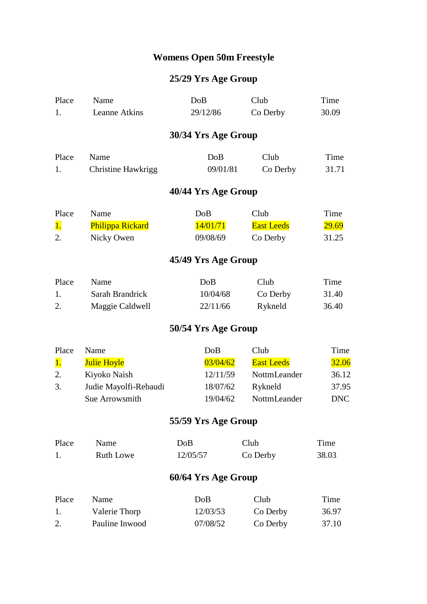## **Womens Open 50m Freestyle**

| Place         | Name                      | DoB                 | Club              | Time         |
|---------------|---------------------------|---------------------|-------------------|--------------|
| 1.            | Leanne Atkins             | 29/12/86            | Co Derby          | 30.09        |
|               |                           | 30/34 Yrs Age Group |                   |              |
| Place         | Name                      | DoB                 | Club              | Time         |
| 1.            | <b>Christine Hawkrigg</b> | 09/01/81            | Co Derby          | 31.71        |
|               |                           | 40/44 Yrs Age Group |                   |              |
| Place         | Name                      | DoB                 | Club              | Time         |
| <sup>1.</sup> | Philippa Rickard          | 14/01/71            | <b>East Leeds</b> | <b>29.69</b> |
| 2.            | Nicky Owen                | 09/08/69            | Co Derby          | 31.25        |
|               |                           | 45/49 Yrs Age Group |                   |              |
| Place         | Name                      | DoB                 | Club              | Time         |
| 1.            | Sarah Brandrick           | 10/04/68            | Co Derby          | 31.40        |
| 2.            | Maggie Caldwell           | 22/11/66            | Rykneld           | 36.40        |
|               |                           | 50/54 Yrs Age Group |                   |              |
| Place         | Name                      | DoB                 | Club              | Time         |
| 1.            | <b>Julie Hoyle</b>        | 03/04/62            | <b>East Leeds</b> | 32.06        |
| 2.            | Kiyoko Naish              | 12/11/59            | NottmLeander      | 36.12        |
| 3.            | Judie Mayolfi-Rebaudi     | 18/07/62            | Rykneld           | 37.95        |
|               | Sue Arrowsmith            | 19/04/62            | NottmLeander      | <b>DNC</b>   |
|               |                           | 55/59 Yrs Age Group |                   |              |
| Place         | Name                      | DoB                 | Club              | Time         |
| 1.            | <b>Ruth Lowe</b>          | 12/05/57            | Co Derby          | 38.03        |
|               |                           | 60/64 Yrs Age Group |                   |              |
| Place         | Name                      | DoB                 | Club              | Time         |
| 1.            | Valerie Thorp             | 12/03/53            | Co Derby          | 36.97        |
| 2.            | Pauline Inwood            | 07/08/52            | Co Derby          | 37.10        |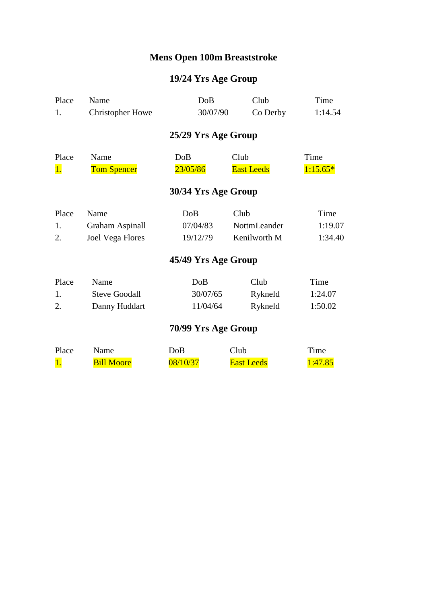## **Mens Open 100m Breaststroke**

# **19/24 Yrs Age Group**

| Place               | Name                    | DoB                 | Club              | Time       |  |  |
|---------------------|-------------------------|---------------------|-------------------|------------|--|--|
| 1.                  | <b>Christopher Howe</b> | 30/07/90            | Co Derby          | 1:14.54    |  |  |
|                     |                         | 25/29 Yrs Age Group |                   |            |  |  |
| Place               | Name                    | DoB                 | Club              | Time       |  |  |
| 1.                  | <b>Tom Spencer</b>      | 23/05/86            | <b>East Leeds</b> | $1:15.65*$ |  |  |
| 30/34 Yrs Age Group |                         |                     |                   |            |  |  |
| Place               | Name                    | DoB                 | Club              | Time       |  |  |
| 1.                  | Graham Aspinall         | 07/04/83            | NottmLeander      | 1:19.07    |  |  |
| 2.                  | <b>Joel Vega Flores</b> | 19/12/79            | Kenilworth M      | 1:34.40    |  |  |
| 45/49 Yrs Age Group |                         |                     |                   |            |  |  |
| Place               | Name                    | DoB                 | Club              | Time       |  |  |
| 1.                  | <b>Steve Goodall</b>    | 30/07/65            | Rykneld           | 1:24.07    |  |  |
| 2.                  | Danny Huddart           | 11/04/64            | Rykneld           | 1:50.02    |  |  |

| Place | Name              | DoB      | Club              | Time          |
|-------|-------------------|----------|-------------------|---------------|
|       | <b>Bill Moore</b> | 08/10/37 | <b>East Leeds</b> | <u>:47.85</u> |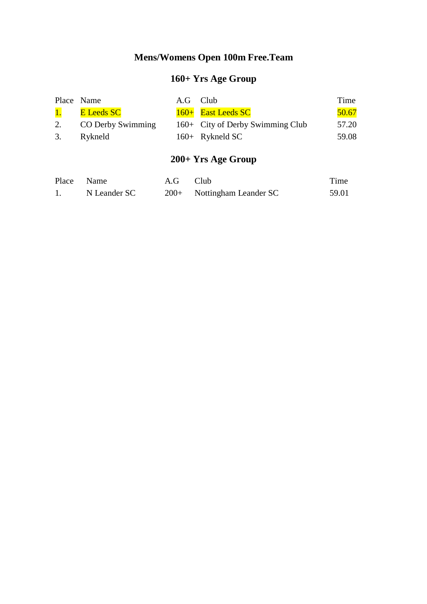## **Mens/Womens Open 100m Free.Team**

# **160+ Yrs Age Group**

|                 | Place Name        | A.G Club |                                  | Time  |
|-----------------|-------------------|----------|----------------------------------|-------|
| $\overline{1.}$ | <b>E</b> Leeds SC |          | 160+ East Leeds SC               | 50.67 |
| 2.              | CO Derby Swimming |          | 160+ City of Derby Swimming Club | 57.20 |
| 3.              | Rykneld           |          | $160 +$ Rykneld SC               | 59.08 |

# **200+ Yrs Age Group**

| Place Name |              | A.G Club |                              | Time  |
|------------|--------------|----------|------------------------------|-------|
|            | N Leander SC |          | $200+$ Nottingham Leander SC | 59.01 |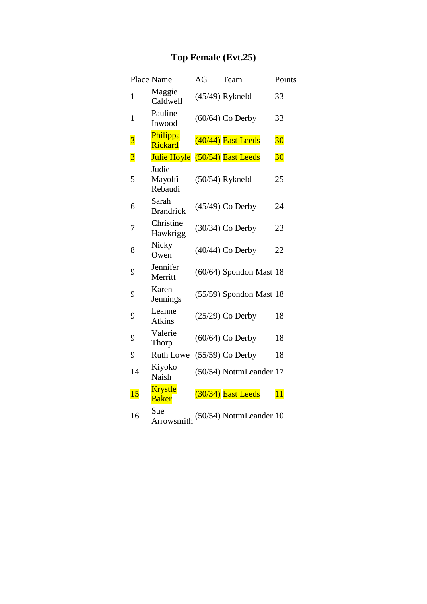# **Top Female (Evt.25)**

|                         | Place Name                     | AG | Team                      | Points |
|-------------------------|--------------------------------|----|---------------------------|--------|
| $\mathbf{1}$            | Maggie<br>Caldwell             |    | $(45/49)$ Rykneld         | 33     |
| $\mathbf{1}$            | Pauline<br>Inwood              |    | $(60/64)$ Co Derby        | 33     |
| $\overline{\mathbf{3}}$ | Philippa<br><b>Rickard</b>     |    | $(40/44)$ East Leeds      | 30     |
| $\overline{\mathbf{3}}$ | <b>Julie Hoyle</b>             |    | $(50/54)$ East Leeds      | $30\,$ |
| 5                       | Judie<br>Mayolfi-<br>Rebaudi   |    | $(50/54)$ Rykneld         | 25     |
| 6                       | Sarah<br><b>Brandrick</b>      |    | $(45/49)$ Co Derby        | 24     |
| 7                       | Christine<br>Hawkrigg          |    | (30/34) Co Derby          | 23     |
| 8                       | Nicky<br>Owen                  |    | $(40/44)$ Co Derby        | 22     |
| 9                       | Jennifer<br>Merritt            |    | $(60/64)$ Spondon Mast 18 |        |
| 9                       | Karen<br>Jennings              |    | $(55/59)$ Spondon Mast 18 |        |
| 9                       | Leanne<br><b>Atkins</b>        |    | $(25/29)$ Co Derby        | 18     |
| 9                       | Valerie<br>Thorp               |    | $(60/64)$ Co Derby        | 18     |
| 9                       | <b>Ruth Lowe</b>               |    | $(55/59)$ Co Derby        | 18     |
| 14                      | Kiyoko<br>Naish                |    | (50/54) NottmLeander 17   |        |
| 15                      | <b>Krystle</b><br><b>Baker</b> |    | (30/34) East Leeds        | 11     |
| 16                      | Sue<br>Arrowsmith              |    | (50/54) NottmLeander 10   |        |